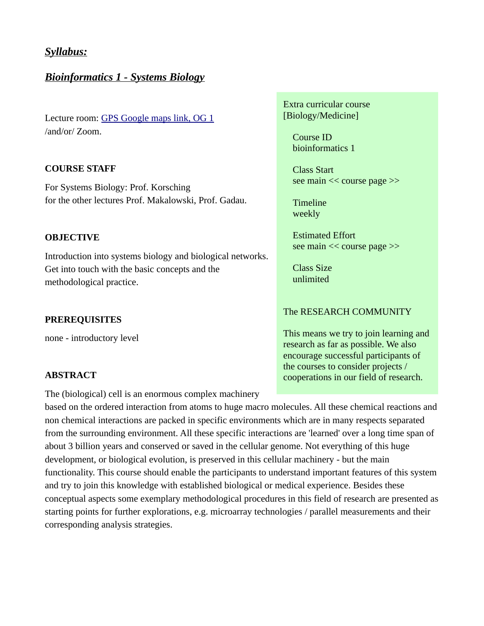# Syllabus:

# *Bioinformatics 1 - Systems Biology*

Lecture room: [GPS Google maps link, OG 1](https://www.google.de/maps/place/51%C2%B057) /and/or/ Zoom.

#### **COURSE STAFF**

For Systems Biology: Prof. Korsching for the other lectures Prof. Makalowski, Prof. Gadau.

### **OBJECTIVE**

Introduction into systems biology and biological networks. Get into touch with the basic concepts and the methodological practice.

## **PREREQUISITES**

none - introductory level

#### **ABSTRACT**

The (biological) cell is an enormous complex machinery

based on the ordered interaction from atoms to huge macro molecules. All these chemical reactions and non chemical interactions are packed in specific environments which are in many respects separated from the surrounding environment. All these specific interactions are 'learned' over a long time span of about 3 billion years and conserved or saved in the cellular genome. Not everything of this huge development, or biological evolution, is preserved in this cellular machinery - but the main functionality. This course should enable the participants to understand important features of this system and try to join this knowledge with established biological or medical experience. Besides these conceptual aspects some exemplary methodological procedures in this field of research are presented as starting points for further explorations, e.g. microarray technologies / parallel measurements and their corresponding analysis strategies.

Extra curricular course [Biology/Medicine]

 Course ID bioinformatics 1

 Class Start see main << course page >>

 Timeline weekly

 Estimated Effort see main << course page >>

 Class Size unlimited

## The RESEARCH COMMUNITY

This means we try to join learning and research as far as possible. We also encourage successful participants of the courses to consider projects / cooperations in our field of research.